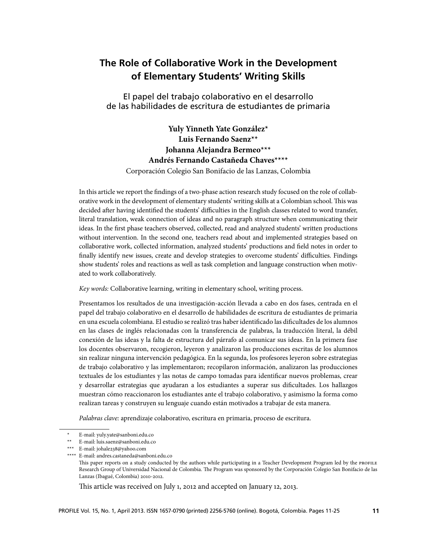# **The Role of Collaborative Work in the Development of Elementary Students' Writing Skills**

El papel del trabajo colaborativo en el desarrollo de las habilidades de escritura de estudiantes de primaria

# **Yuly Yinneth Yate González\* Luis Fernando Saenz\*\* Johanna Alejandra Bermeo\*\*\* Andrés Fernando Castañeda Chaves\*\*\*\***

Corporación Colegio San Bonifacio de las Lanzas, Colombia

In this article we report the findings of a two-phase action research study focused on the role of collaborative work in the development of elementary students' writing skills at a Colombian school. This was decided after having identified the students' difficulties in the English classes related to word transfer, literal translation, weak connection of ideas and no paragraph structure when communicating their ideas. In the first phase teachers observed, collected, read and analyzed students' written productions without intervention. In the second one, teachers read about and implemented strategies based on collaborative work, collected information, analyzed students' productions and field notes in order to finally identify new issues, create and develop strategies to overcome students' difficulties. Findings show students' roles and reactions as well as task completion and language construction when motivated to work collaboratively.

*Key words:* Collaborative learning, writing in elementary school, writing process.

Presentamos los resultados de una investigación-acción llevada a cabo en dos fases, centrada en el papel del trabajo colaborativo en el desarrollo de habilidades de escritura de estudiantes de primaria en una escuela colombiana. El estudio se realizó tras haber identificado las dificultades de los alumnos en las clases de inglés relacionadas con la transferencia de palabras, la traducción literal, la débil conexión de las ideas y la falta de estructura del párrafo al comunicar sus ideas. En la primera fase los docentes observaron, recogieron, leyeron y analizaron las producciones escritas de los alumnos sin realizar ninguna intervención pedagógica. En la segunda, los profesores leyeron sobre estrategias de trabajo colaborativo y las implementaron; recopilaron información, analizaron las producciones textuales de los estudiantes y las notas de campo tomadas para identificar nuevos problemas, crear y desarrollar estrategias que ayudaran a los estudiantes a superar sus dificultades. Los hallazgos muestran cómo reaccionaron los estudiantes ante el trabajo colaborativo, y asimismo la forma como realizan tareas y construyen su lenguaje cuando están motivados a trabajar de esta manera.

*Palabras clave:* aprendizaje colaborativo, escritura en primaria, proceso de escritura.

This article was received on July 1, 2012 and accepted on January 12, 2013.

E-mail: yuly.yate@sanboni.edu.co

<sup>\*\*</sup> E-mail: luis.saenz@sanboni.edu.co

<sup>\*\*\*</sup> E-mail: johale238@yahoo.com

<sup>\*\*\*\*</sup> E-mail: andres.castaneda@sanboni.edu.co

This paper reports on a study conducted by the authors while participating in a Teacher Development Program led by the PROFILE Research Group of Universidad Nacional de Colombia. The Program was sponsored by the Corporación Colegio San Bonifacio de las Lanzas (Ibagué, Colombia) 2010-2012.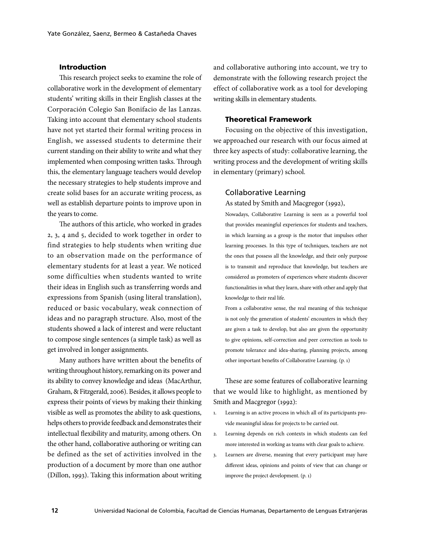### Introduction

This research project seeks to examine the role of collaborative work in the development of elementary students' writing skills in their English classes at the Corporación Colegio San Bonifacio de las Lanzas. Taking into account that elementary school students have not yet started their formal writing process in English, we assessed students to determine their current standing on their ability to write and what they implemented when composing written tasks. Through this, the elementary language teachers would develop the necessary strategies to help students improve and create solid bases for an accurate writing process, as well as establish departure points to improve upon in the years to come.

The authors of this article, who worked in grades 2, 3, 4 and 5, decided to work together in order to find strategies to help students when writing due to an observation made on the performance of elementary students for at least a year. We noticed some difficulties when students wanted to write their ideas in English such as transferring words and expressions from Spanish (using literal translation), reduced or basic vocabulary, weak connection of ideas and no paragraph structure. Also, most of the students showed a lack of interest and were reluctant to compose single sentences (a simple task) as well as get involved in longer assignments.

Many authors have written about the benefits of writing throughout history, remarking on its power and its ability to convey knowledge and ideas (MacArthur, Graham, & Fitzgerald, 2006). Besides, it allows people to express their points of views by making their thinking visible as well as promotes the ability to ask questions, helps others to provide feedback and demonstrates their intellectual flexibility and maturity, among others. On the other hand, collaborative authoring or writing can be defined as the set of activities involved in the production of a document by more than one author (Dillon, 1993). Taking this information about writing

and collaborative authoring into account, we try to demonstrate with the following research project the effect of collaborative work as a tool for developing writing skills in elementary students.

# Theoretical Framework

Focusing on the objective of this investigation, we approached our research with our focus aimed at three key aspects of study: collaborative learning, the writing process and the development of writing skills in elementary (primary) school.

#### Collaborative Learning

As stated by Smith and Macgregor (1992),

Nowadays, Collaborative Learning is seen as a powerful tool that provides meaningful experiences for students and teachers, in which learning as a group is the motor that impulses other learning processes. In this type of techniques, teachers are not the ones that possess all the knowledge, and their only purpose is to transmit and reproduce that knowledge, but teachers are considered as promoters of experiences where students discover functionalities in what they learn, share with other and apply that knowledge to their real life.

From a collaborative sense, the real meaning of this technique is not only the generation of students' encounters in which they are given a task to develop, but also are given the opportunity to give opinions, self-correction and peer correction as tools to promote tolerance and idea-sharing, planning projects, among other important benefits of Collaborative Learning. (p. 1)

These are some features of collaborative learning that we would like to highlight, as mentioned by Smith and Macgregor (1992):

- 1. Learning is an active process in which all of its participants provide meaningful ideas for projects to be carried out.
- 2. Learning depends on rich contexts in which students can feel more interested in working as teams with clear goals to achieve.
- 3. Learners are diverse, meaning that every participant may have different ideas, opinions and points of view that can change or improve the project development. (p. 1)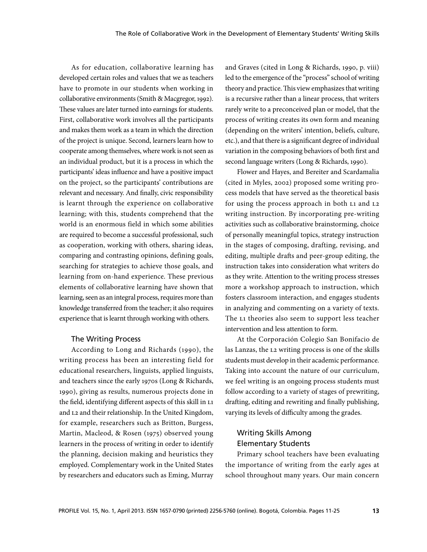As for education, collaborative learning has developed certain roles and values that we as teachers have to promote in our students when working in collaborative environments (Smith & Macgregor, 1992). These values are later turned into earnings for students. First, collaborative work involves all the participants and makes them work as a team in which the direction of the project is unique. Second, learners learn how to cooperate among themselves, where work is not seen as an individual product, but it is a process in which the participants' ideas influence and have a positive impact on the project, so the participants' contributions are relevant and necessary. And finally, civic responsibility is learnt through the experience on collaborative learning; with this, students comprehend that the world is an enormous field in which some abilities are required to become a successful professional, such as cooperation, working with others, sharing ideas, comparing and contrasting opinions, defining goals, searching for strategies to achieve those goals, and learning from on-hand experience. These previous elements of collaborative learning have shown that learning, seen as an integral process, requires more than knowledge transferred from the teacher; it also requires experience that is learnt through working with others.

### The Writing Process

According to Long and Richards (1990), the writing process has been an interesting field for educational researchers, linguists, applied linguists, and teachers since the early 1970s (Long & Richards, 1990), giving as results, numerous projects done in the field, identifying different aspects of this skill in L1 and L2 and their relationship. In the United Kingdom, for example, researchers such as Britton, Burgess, Martin, Macleod, & Rosen (1975) observed young learners in the process of writing in order to identify the planning, decision making and heuristics they employed. Complementary work in the United States by researchers and educators such as Eming, Murray

and Graves (cited in Long & Richards, 1990, p. viii) led to the emergence of the "process" school of writing theory and practice. This view emphasizes that writing is a recursive rather than a linear process, that writers rarely write to a preconceived plan or model, that the process of writing creates its own form and meaning (depending on the writers' intention, beliefs, culture, etc.), and that there is a significant degree of individual variation in the composing behaviors of both first and second language writers (Long & Richards, 1990).

Flower and Hayes, and Bereiter and Scardamalia (cited in Myles, 2002) proposed some writing process models that have served as the theoretical basis for using the process approach in both L1 and L2 writing instruction. By incorporating pre-writing activities such as collaborative brainstorming, choice of personally meaningful topics, strategy instruction in the stages of composing, drafting, revising, and editing, multiple drafts and peer-group editing, the instruction takes into consideration what writers do as they write. Attention to the writing process stresses more a workshop approach to instruction, which fosters classroom interaction, and engages students in analyzing and commenting on a variety of texts. The L1 theories also seem to support less teacher intervention and less attention to form.

At the Corporación Colegio San Bonifacio de las Lanzas, the L2 writing process is one of the skills students must develop in their academic performance. Taking into account the nature of our curriculum, we feel writing is an ongoing process students must follow according to a variety of stages of prewriting, drafting, editing and rewriting and finally publishing, varying its levels of difficulty among the grades.

# Writing Skills Among Elementary Students

Primary school teachers have been evaluating the importance of writing from the early ages at school throughout many years. Our main concern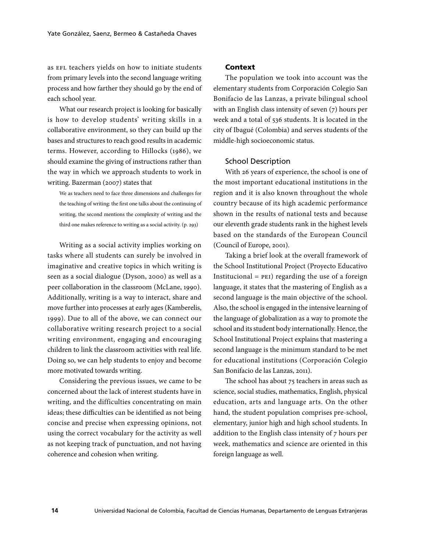as EFL teachers yields on how to initiate students from primary levels into the second language writing process and how farther they should go by the end of each school year.

What our research project is looking for basically is how to develop students' writing skills in a collaborative environment, so they can build up the bases and structures to reach good results in academic terms. However, according to Hillocks (1986), we should examine the giving of instructions rather than the way in which we approach students to work in writing. Bazerman (2007) states that

We as teachers need to face three dimensions and challenges for the teaching of writing: the first one talks about the continuing of writing, the second mentions the complexity of writing and the third one makes reference to writing as a social activity. (p. 293)

Writing as a social activity implies working on tasks where all students can surely be involved in imaginative and creative topics in which writing is seen as a social dialogue (Dyson, 2000) as well as a peer collaboration in the classroom (McLane, 1990). Additionally, writing is a way to interact, share and move further into processes at early ages (Kamberelis, 1999). Due to all of the above, we can connect our collaborative writing research project to a social writing environment, engaging and encouraging children to link the classroom activities with real life. Doing so, we can help students to enjoy and become more motivated towards writing.

Considering the previous issues, we came to be concerned about the lack of interest students have in writing, and the difficulties concentrating on main ideas; these difficulties can be identified as not being concise and precise when expressing opinions, not using the correct vocabulary for the activity as well as not keeping track of punctuation, and not having coherence and cohesion when writing.

# Context

The population we took into account was the elementary students from Corporación Colegio San Bonifacio de las Lanzas, a private bilingual school with an English class intensity of seven (7) hours per week and a total of 536 students. It is located in the city of Ibagué (Colombia) and serves students of the middle-high socioeconomic status.

#### School Description

With 26 years of experience, the school is one of the most important educational institutions in the region and it is also known throughout the whole country because of its high academic performance shown in the results of national tests and because our eleventh grade students rank in the highest levels based on the standards of the European Council (Council of Europe, 2001).

Taking a brief look at the overall framework of the School Institutional Project (Proyecto Educativo Institucional  $=$  PEI) regarding the use of a foreign language, it states that the mastering of English as a second language is the main objective of the school. Also, the school is engaged in the intensive learning of the language of globalization as a way to promote the school and its student body internationally. Hence, the School Institutional Project explains that mastering a second language is the minimum standard to be met for educational institutions (Corporación Colegio San Bonifacio de las Lanzas, 2011).

The school has about 75 teachers in areas such as science, social studies, mathematics, English, physical education, arts and language arts. On the other hand, the student population comprises pre-school, elementary, junior high and high school students. In addition to the English class intensity of 7 hours per week, mathematics and science are oriented in this foreign language as well.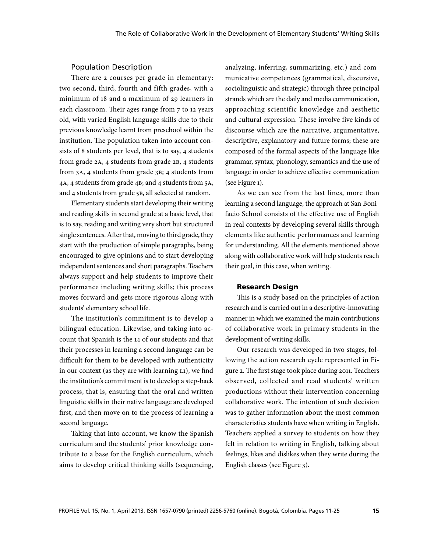# Population Description

There are 2 courses per grade in elementary: two second, third, fourth and fifth grades, with a minimum of 18 and a maximum of 29 learners in each classroom. Their ages range from 7 to 12 years old, with varied English language skills due to their previous knowledge learnt from preschool within the institution. The population taken into account consists of 8 students per level, that is to say, 4 students from grade 2A, 4 students from grade 2B, 4 students from 3A, 4 students from grade 3B; 4 students from 4A, 4 students from grade 4B; and 4 students from 5A, and 4 students from grade 5B, all selected at random.

Elementary students start developing their writing and reading skills in second grade at a basic level, that is to say, reading and writing very short but structured single sentences. After that, moving to third grade, they start with the production of simple paragraphs, being encouraged to give opinions and to start developing independent sentences and short paragraphs. Teachers always support and help students to improve their performance including writing skills; this process moves forward and gets more rigorous along with students' elementary school life.

The institution's commitment is to develop a bilingual education. Likewise, and taking into account that Spanish is the L1 of our students and that their processes in learning a second language can be difficult for them to be developed with authenticity in our context (as they are with learning L1), we find the institution's commitment is to develop a step-back process, that is, ensuring that the oral and written linguistic skills in their native language are developed first, and then move on to the process of learning a second language.

Taking that into account, we know the Spanish curriculum and the students' prior knowledge contribute to a base for the English curriculum, which aims to develop critical thinking skills (sequencing,

analyzing, inferring, summarizing, etc.) and communicative competences (grammatical, discursive, sociolinguistic and strategic) through three principal strands which are the daily and media communication, approaching scientific knowledge and aesthetic and cultural expression. These involve five kinds of discourse which are the narrative, argumentative, descriptive, explanatory and future forms; these are composed of the formal aspects of the language like grammar, syntax, phonology, semantics and the use of language in order to achieve effective communication (see Figure 1).

As we can see from the last lines, more than learning a second language, the approach at San Bonifacio School consists of the effective use of English in real contexts by developing several skills through elements like authentic performances and learning for understanding. All the elements mentioned above along with collaborative work will help students reach their goal, in this case, when writing.

# Research Design

This is a study based on the principles of action research and is carried out in a descriptive-innovating manner in which we examined the main contributions of collaborative work in primary students in the development of writing skills.

Our research was developed in two stages, following the action research cycle represented in Figure 2. The first stage took place during 2011. Teachers observed, collected and read students' written productions without their intervention concerning collaborative work. The intention of such decision was to gather information about the most common characteristics students have when writing in English. Teachers applied a survey to students on how they felt in relation to writing in English, talking about feelings, likes and dislikes when they write during the English classes (see Figure 3).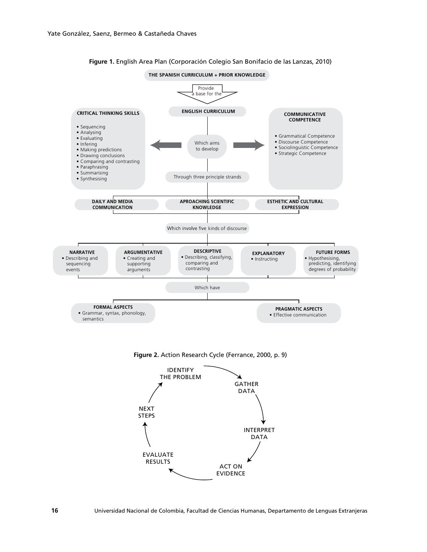

#### **Figure 1.** English Area Plan (Corporación Colegio San Bonifacio de las Lanzas, 2010)

**Figure 2.** Action Research Cycle (Ferrance, 2000, p. 9)

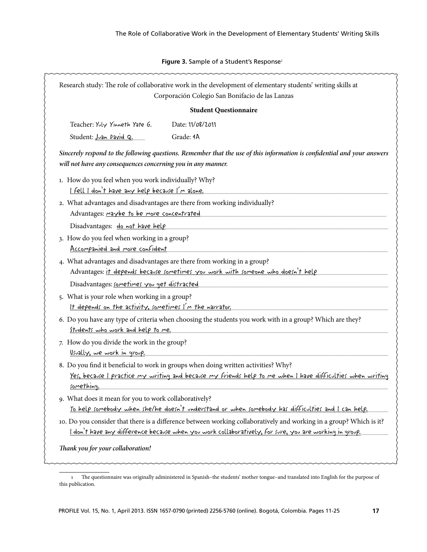# Figure 3. Sample of a Student's Response<sup>1</sup>

| Research study: The role of collaborative work in the development of elementary students' writing skills at<br>Corporación Colegio San Bonifacio de las Lanzas                           |                                                                                                                                                                                                  |  |  |  |  |  |
|------------------------------------------------------------------------------------------------------------------------------------------------------------------------------------------|--------------------------------------------------------------------------------------------------------------------------------------------------------------------------------------------------|--|--|--|--|--|
| <b>Student Questionnaire</b>                                                                                                                                                             |                                                                                                                                                                                                  |  |  |  |  |  |
| Teacher: Yuly Yinneth Yate G.                                                                                                                                                            | Date: 11/08/2011                                                                                                                                                                                 |  |  |  |  |  |
| Student: Juan David Q.                                                                                                                                                                   | Grade: 4A                                                                                                                                                                                        |  |  |  |  |  |
| Sincerely respond to the following questions. Remember that the use of this information is confidential and your answers<br>will not have any consequences concerning you in any manner. |                                                                                                                                                                                                  |  |  |  |  |  |
| 1. How do you feel when you work individually? Why?<br>I fell I don't have any help because I'm alone.                                                                                   |                                                                                                                                                                                                  |  |  |  |  |  |
| Advantages: maybe to be more concentrated                                                                                                                                                | 2. What advantages and disadvantages are there from working individually?                                                                                                                        |  |  |  |  |  |
| Disadvantages: do not have help                                                                                                                                                          |                                                                                                                                                                                                  |  |  |  |  |  |
| 3. How do you feel when working in a group?<br>Accompanied and more confident                                                                                                            |                                                                                                                                                                                                  |  |  |  |  |  |
|                                                                                                                                                                                          | 4. What advantages and disadvantages are there from working in a group?<br>Advantages: it depends because sometimes you work with someone who doesn't help                                       |  |  |  |  |  |
| Disadvantages: sometimes you get distracted                                                                                                                                              |                                                                                                                                                                                                  |  |  |  |  |  |
| 5. What is your role when working in a group?<br>It depends on the activity, sometimes I'm the narrator.                                                                                 |                                                                                                                                                                                                  |  |  |  |  |  |
| Students who work and help to me.                                                                                                                                                        | 6. Do you have any type of criteria when choosing the students you work with in a group? Which are they?                                                                                         |  |  |  |  |  |
| 7. How do you divide the work in the group?<br><u>Usually, we work in group.</u>                                                                                                         |                                                                                                                                                                                                  |  |  |  |  |  |
| something.                                                                                                                                                                               | 8. Do you find it beneficial to work in groups when doing written activities? Why?<br>Yes, because I practice my writing and because my friends help to me when I have difficulties when writing |  |  |  |  |  |
| 9. What does it mean for you to work collaboratively?                                                                                                                                    |                                                                                                                                                                                                  |  |  |  |  |  |
| <u>To help somebody when she/he doesn't understand or when somebody has difficulties and I can help.</u>                                                                                 |                                                                                                                                                                                                  |  |  |  |  |  |
|                                                                                                                                                                                          | 10. Do you consider that there is a difference between working collaboratively and working in a group? Which is it?                                                                              |  |  |  |  |  |
| I don't have any difference because when you work collaboratively, for sure, you are working in group.<br>Thank you for your collaboration!                                              |                                                                                                                                                                                                  |  |  |  |  |  |

<sup>1</sup> The questionnaire was originally administered in Spanish–the students' mother tongue–and translated into English for the purpose of this publication.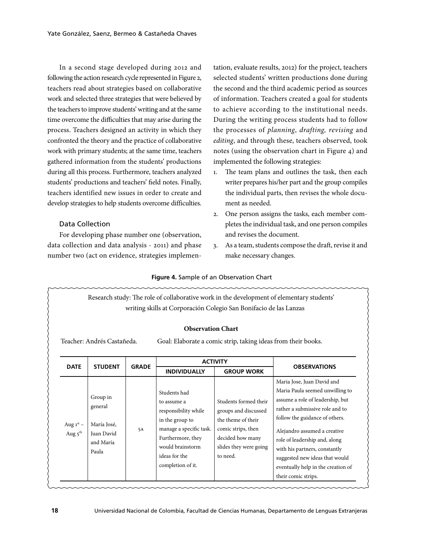In a second stage developed during 2012 and following the action research cycle represented in Figure 2, teachers read about strategies based on collaborative work and selected three strategies that were believed by the teachers to improve students' writing and at the same time overcome the difficulties that may arise during the process. Teachers designed an activity in which they confronted the theory and the practice of collaborative work with primary students; at the same time, teachers gathered information from the students' productions during all this process. Furthermore, teachers analyzed students' productions and teachers' field notes. Finally, teachers identified new issues in order to create and develop strategies to help students overcome difficulties.

# Data Collection

For developing phase number one (observation, data collection and data analysis - 2011) and phase number two (act on evidence, strategies implementation, evaluate results, 2012) for the project, teachers selected students' written productions done during the second and the third academic period as sources of information. Teachers created a goal for students to achieve according to the institutional needs. During the writing process students had to follow the processes of *planning*, *drafting, revising* and *editing*, and through these, teachers observed, took notes (using the observation chart in Figure 4) and implemented the following strategies:

- 1. The team plans and outlines the task, then each writer prepares his/her part and the group compiles the individual parts, then revises the whole document as needed.
- 2. One person assigns the tasks, each member completes the individual task, and one person compiles and revises the document.
- 3. As a team, students compose the draft, revise it and make necessary changes.

#### **Figure 4.** Sample of an Observation Chart

| writing skills at Corporación Colegio San Bonifacio de las Lanzas<br><b>Observation Chart</b><br>Teacher: Andrés Castañeda.<br>Goal: Elaborate a comic strip, taking ideas from their books. |                                                                        |              |                                                                                                                                                                                  |                                                                                                                                                     |                                                                                                                                                                                                                                                                                                                                                                         |  |  |  |
|----------------------------------------------------------------------------------------------------------------------------------------------------------------------------------------------|------------------------------------------------------------------------|--------------|----------------------------------------------------------------------------------------------------------------------------------------------------------------------------------|-----------------------------------------------------------------------------------------------------------------------------------------------------|-------------------------------------------------------------------------------------------------------------------------------------------------------------------------------------------------------------------------------------------------------------------------------------------------------------------------------------------------------------------------|--|--|--|
| <b>DATE</b>                                                                                                                                                                                  | <b>STUDENT</b>                                                         | <b>GRADE</b> | <b>ACTIVITY</b>                                                                                                                                                                  |                                                                                                                                                     | <b>OBSERVATIONS</b>                                                                                                                                                                                                                                                                                                                                                     |  |  |  |
|                                                                                                                                                                                              |                                                                        |              | <b>INDIVIDUALLY</b>                                                                                                                                                              | <b>GROUP WORK</b>                                                                                                                                   |                                                                                                                                                                                                                                                                                                                                                                         |  |  |  |
| Aug $1st$ –<br>Aug $5^{\text{th}}$                                                                                                                                                           | Group in<br>general<br>María José,<br>Juan David<br>and María<br>Paula | 5A           | Students had<br>to assume a<br>responsibility while<br>in the group to<br>manage a specific task.<br>Furthermore, they<br>would brainstorm<br>ideas for the<br>completion of it. | Students formed their<br>groups and discussed<br>the theme of their<br>comic strips, then<br>decided how many<br>slides they were going<br>to need. | Maria Jose, Juan David and<br>Maria Paula seemed unwilling to<br>assume a role of leadership, but<br>rather a submissive role and to<br>follow the guidance of others.<br>Alejandro assumed a creative<br>role of leadership and, along<br>with his partners, constantly<br>suggested new ideas that would<br>eventually help in the creation of<br>their comic strips. |  |  |  |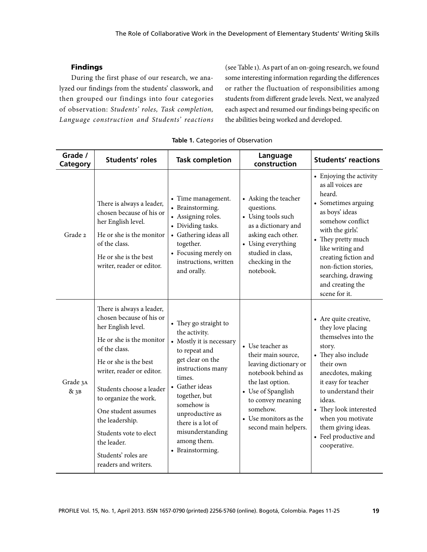# Findings

During the first phase of our research, we analyzed our findings from the students' classwork, and then grouped our findings into four categories of observation: *Students' roles, Task completion, Language construction and Students' reactions* (see Table 1). As part of an on-going research, we found some interesting information regarding the differences or rather the fluctuation of responsibilities among students from different grade levels. Next, we analyzed each aspect and resumed our findings being specific on the abilities being worked and developed.

| Grade /<br>Category | <b>Students' roles</b>                                                                                                                                                                                                                                                                                                                                                | <b>Task completion</b>                                                                                                                                                                                                                                                                 | Language<br>construction                                                                                                                                                                                          | <b>Students' reactions</b>                                                                                                                                                                                                                                                                                 |
|---------------------|-----------------------------------------------------------------------------------------------------------------------------------------------------------------------------------------------------------------------------------------------------------------------------------------------------------------------------------------------------------------------|----------------------------------------------------------------------------------------------------------------------------------------------------------------------------------------------------------------------------------------------------------------------------------------|-------------------------------------------------------------------------------------------------------------------------------------------------------------------------------------------------------------------|------------------------------------------------------------------------------------------------------------------------------------------------------------------------------------------------------------------------------------------------------------------------------------------------------------|
| Grade 2             | There is always a leader,<br>chosen because of his or<br>her English level.<br>He or she is the monitor<br>of the class.<br>He or she is the best<br>writer, reader or editor.                                                                                                                                                                                        | • Time management.<br>• Brainstorming.<br>• Assigning roles.<br>• Dividing tasks.<br>• Gathering ideas all<br>together.<br>• Focusing merely on<br>instructions, written<br>and orally.                                                                                                | • Asking the teacher<br>questions.<br>• Using tools such<br>as a dictionary and<br>asking each other.<br>• Using everything<br>studied in class,<br>checking in the<br>notebook.                                  | • Enjoying the activity<br>as all voices are<br>heard.<br>• Sometimes arguing<br>as boys' ideas<br>somehow conflict<br>with the girls'.<br>• They pretty much<br>like writing and<br>creating fiction and<br>non-fiction stories,<br>searching, drawing<br>and creating the<br>scene for it.               |
| Grade 3A<br>&3B     | There is always a leader,<br>chosen because of his or<br>her English level.<br>He or she is the monitor<br>of the class.<br>He or she is the best<br>writer, reader or editor.<br>Students choose a leader<br>to organize the work.<br>One student assumes<br>the leadership.<br>Students vote to elect<br>the leader.<br>Students' roles are<br>readers and writers. | • They go straight to<br>the activity.<br>• Mostly it is necessary<br>to repeat and<br>get clear on the<br>instructions many<br>times.<br>• Gather ideas<br>together, but<br>somehow is<br>unproductive as<br>there is a lot of<br>misunderstanding<br>among them.<br>• Brainstorming. | • Use teacher as<br>their main source,<br>leaving dictionary or<br>notebook behind as<br>the last option.<br>• Use of Spanglish<br>to convey meaning<br>somehow.<br>• Use monitors as the<br>second main helpers. | • Are quite creative,<br>they love placing<br>themselves into the<br>story.<br>• They also include<br>their own<br>anecdotes, making<br>it easy for teacher<br>to understand their<br>ideas.<br>• They look interested<br>when you motivate<br>them giving ideas.<br>• Feel productive and<br>cooperative. |

#### **Table 1.** Categories of Observation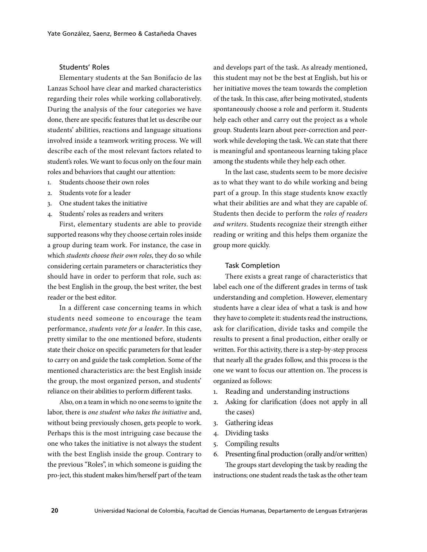# Students' Roles

Elementary students at the San Bonifacio de las Lanzas School have clear and marked characteristics regarding their roles while working collaboratively. During the analysis of the four categories we have done, there are specific features that let us describe our students' abilities, reactions and language situations involved inside a teamwork writing process. We will describe each of the most relevant factors related to student's roles. We want to focus only on the four main roles and behaviors that caught our attention:

- 1. Students choose their own roles
- 2. Students vote for a leader
- 3. One student takes the initiative
- 4. Students' roles as readers and writers

First, elementary students are able to provide supported reasons why they choose certain roles inside a group during team work. For instance, the case in which *students choose their own roles*, they do so while considering certain parameters or characteristics they should have in order to perform that role, such as: the best English in the group, the best writer, the best reader or the best editor.

In a different case concerning teams in which students need someone to encourage the team performance, *students vote for a leader*. In this case, pretty similar to the one mentioned before, students state their choice on specific parameters for that leader to carry on and guide the task completion. Some of the mentioned characteristics are: the best English inside the group, the most organized person, and students' reliance on their abilities to perform different tasks.

Also, on a team in which no one seems to ignite the labor, there is *one student who takes the initiative* and, without being previously chosen, gets people to work. Perhaps this is the most intriguing case because the one who takes the initiative is not always the student with the best English inside the group. Contrary to the previous "Roles", in which someone is guiding the pro-ject, this student makes him/herself part of the team

and develops part of the task. As already mentioned, this student may not be the best at English, but his or her initiative moves the team towards the completion of the task. In this case, after being motivated, students spontaneously choose a role and perform it. Students help each other and carry out the project as a whole group. Students learn about peer-correction and peerwork while developing the task. We can state that there is meaningful and spontaneous learning taking place among the students while they help each other.

In the last case, students seem to be more decisive as to what they want to do while working and being part of a group. In this stage students know exactly what their abilities are and what they are capable of. Students then decide to perform the *roles of readers and writers*. Students recognize their strength either reading or writing and this helps them organize the group more quickly.

### Task Completion

There exists a great range of characteristics that label each one of the different grades in terms of task understanding and completion. However, elementary students have a clear idea of what a task is and how they have to complete it: students read the instructions, ask for clarification, divide tasks and compile the results to present a final production, either orally or written. For this activity, there is a step-by-step process that nearly all the grades follow, and this process is the one we want to focus our attention on. The process is organized as follows:

- 1. Reading and understanding instructions
- 2. Asking for clarification (does not apply in all the cases)
- 3. Gathering ideas
- 4. Dividing tasks
- 5. Compiling results
- 6. Presenting final production (orally and/or written)

The groups start developing the task by reading the instructions; one student reads the task as the other team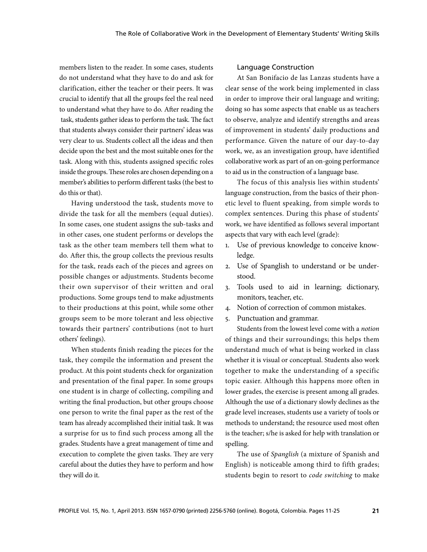members listen to the reader. In some cases, students do not understand what they have to do and ask for clarification, either the teacher or their peers. It was crucial to identify that all the groups feel the real need to understand what they have to do. After reading the task, students gather ideas to perform the task. The fact that students always consider their partners' ideas was very clear to us. Students collect all the ideas and then decide upon the best and the most suitable ones for the task. Along with this, students assigned specific roles inside the groups. These roles are chosen depending on a member's abilities to perform different tasks (the best to do this or that).

Having understood the task, students move to divide the task for all the members (equal duties). In some cases, one student assigns the sub-tasks and in other cases, one student performs or develops the task as the other team members tell them what to do. After this, the group collects the previous results for the task, reads each of the pieces and agrees on possible changes or adjustments. Students become their own supervisor of their written and oral productions. Some groups tend to make adjustments to their productions at this point, while some other groups seem to be more tolerant and less objective towards their partners' contributions (not to hurt others' feelings).

When students finish reading the pieces for the task, they compile the information and present the product. At this point students check for organization and presentation of the final paper. In some groups one student is in charge of collecting, compiling and writing the final production, but other groups choose one person to write the final paper as the rest of the team has already accomplished their initial task. It was a surprise for us to find such process among all the grades. Students have a great management of time and execution to complete the given tasks. They are very careful about the duties they have to perform and how they will do it.

# Language Construction

At San Bonifacio de las Lanzas students have a clear sense of the work being implemented in class in order to improve their oral language and writing; doing so has some aspects that enable us as teachers to observe, analyze and identify strengths and areas of improvement in students' daily productions and performance. Given the nature of our day-to-day work, we, as an investigation group, have identified collaborative work as part of an on-going performance to aid us in the construction of a language base.

The focus of this analysis lies within students' language construction, from the basics of their phonetic level to fluent speaking, from simple words to complex sentences. During this phase of students' work, we have identified as follows several important aspects that vary with each level (grade):

- 1. Use of previous knowledge to conceive knowledge.
- 2. Use of Spanglish to understand or be understood.
- 3. Tools used to aid in learning; dictionary, monitors, teacher, etc.
- 4. Notion of correction of common mistakes.
- 5. Punctuation and grammar.

Students from the lowest level come with a *notion* of things and their surroundings; this helps them understand much of what is being worked in class whether it is visual or conceptual. Students also work together to make the understanding of a specific topic easier. Although this happens more often in lower grades, the exercise is present among all grades. Although the use of a dictionary slowly declines as the grade level increases, students use a variety of tools or methods to understand; the resource used most often is the teacher; s/he is asked for help with translation or spelling.

The use of *Spanglish* (a mixture of Spanish and English) is noticeable among third to fifth grades; students begin to resort to *code switching* to make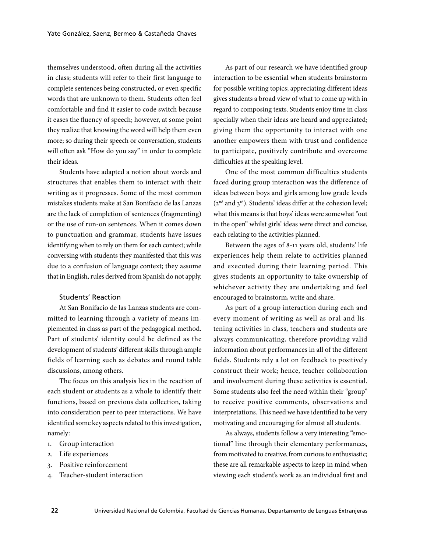themselves understood, often during all the activities in class; students will refer to their first language to complete sentences being constructed, or even specific words that are unknown to them. Students often feel comfortable and find it easier to code switch because it eases the fluency of speech; however, at some point they realize that knowing the word will help them even more; so during their speech or conversation, students will often ask "How do you say" in order to complete their ideas.

Students have adapted a notion about words and structures that enables them to interact with their writing as it progresses. Some of the most common mistakes students make at San Bonifacio de las Lanzas are the lack of completion of sentences (fragmenting) or the use of run-on sentences. When it comes down to punctuation and grammar, students have issues identifying when to rely on them for each context; while conversing with students they manifested that this was due to a confusion of language context; they assume that in English, rules derived from Spanish do not apply.

## Students' Reaction

At San Bonifacio de las Lanzas students are committed to learning through a variety of means implemented in class as part of the pedagogical method. Part of students' identity could be defined as the development of students' different skills through ample fields of learning such as debates and round table discussions, among others.

The focus on this analysis lies in the reaction of each student or students as a whole to identify their functions, based on previous data collection, taking into consideration peer to peer interactions. We have identified some key aspects related to this investigation, namely:

- 1. Group interaction
- 2. Life experiences
- 3. Positive reinforcement
- 4. Teacher-student interaction

As part of our research we have identified group interaction to be essential when students brainstorm for possible writing topics; appreciating different ideas gives students a broad view of what to come up with in regard to composing texts. Students enjoy time in class specially when their ideas are heard and appreciated; giving them the opportunity to interact with one another empowers them with trust and confidence to participate, positively contribute and overcome difficulties at the speaking level.

One of the most common difficulties students faced during group interaction was the difference of ideas between boys and girls among low grade levels (2nd and 3rd). Students' ideas differ at the cohesion level; what this means is that boys' ideas were somewhat "out in the open" whilst girls' ideas were direct and concise, each relating to the activities planned.

Between the ages of 8-11 years old, students' life experiences help them relate to activities planned and executed during their learning period. This gives students an opportunity to take ownership of whichever activity they are undertaking and feel encouraged to brainstorm, write and share.

As part of a group interaction during each and every moment of writing as well as oral and listening activities in class, teachers and students are always communicating, therefore providing valid information about performances in all of the different fields. Students rely a lot on feedback to positively construct their work; hence, teacher collaboration and involvement during these activities is essential. Some students also feel the need within their "group" to receive positive comments, observations and interpretations. This need we have identified to be very motivating and encouraging for almost all students.

As always, students follow a very interesting "emotional" line through their elementary performances, from motivated to creative, from curious to enthusiastic; these are all remarkable aspects to keep in mind when viewing each student's work as an individual first and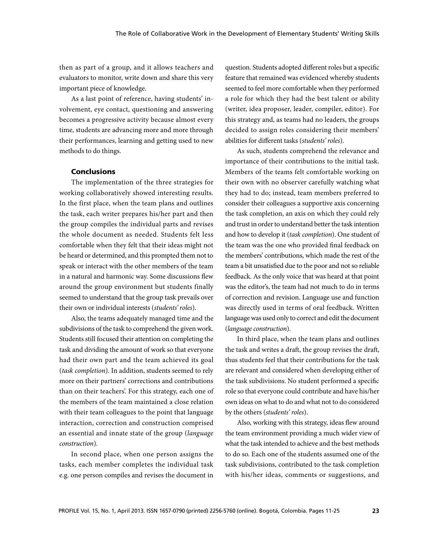then as part of a group, and it allows teachers and evaluators to monitor, write down and share this very important piece of knowledge.

As a last point of reference, having students' involvement, eye contact, questioning and answering becomes a progressive activity because almost every time, students are advancing more and more through their performances, learning and getting used to new methods to do things.

### Conclusions

The implementation of the three strategies for working collaboratively showed interesting results. In the first place, when the team plans and outlines the task, each writer prepares his/her part and then the group compiles the individual parts and revises the whole document as needed. Students felt less comfortable when they felt that their ideas might not be heard or determined, and this prompted them not to speak or interact with the other members of the team in a natural and harmonic way. Some discussions flew around the group environment but students finally seemed to understand that the group task prevails over their own or individual interests (*students' roles*).

Also, the teams adequately managed time and the subdivisions of the task to comprehend the given work. Students still focused their attention on completing the task and dividing the amount of work so that everyone had their own part and the team achieved its goal (*task completion*). In addition, students seemed to rely more on their partners' corrections and contributions than on their teachers'. For this strategy, each one of the members of the team maintained a close relation with their team colleagues to the point that language interaction, correction and construction comprised an essential and innate state of the group (*language construction*).

In second place, when one person assigns the tasks, each member completes the individual task e.g. one person compiles and revises the document in

question. Students adopted different roles but a specific feature that remained was evidenced whereby students seemed to feel more comfortable when they performed a role for which they had the best talent or ability (writer, idea proposer, leader, compiler, editor). For this strategy and, as teams had no leaders, the groups decided to assign roles considering their members' abilities for different tasks (*students' roles*).

As such, students comprehend the relevance and importance of their contributions to the initial task. Members of the teams felt comfortable working on their own with no observer carefully watching what they had to do; instead, team members preferred to consider their colleagues a supportive axis concerning the task completion, an axis on which they could rely and trust in order to understand better the task intention and how to develop it (*task completion*). One student of the team was the one who provided final feedback on the members' contributions, which made the rest of the team a bit unsatisfied due to the poor and not so reliable feedback. As the only voice that was heard at that point was the editor's, the team had not much to do in terms of correction and revision. Language use and function was directly used in terms of oral feedback. Written language was used only to correct and edit the document (*language construction*).

In third place, when the team plans and outlines the task and writes a draft, the group revises the draft, thus students feel that their contributions for the task are relevant and considered when developing either of the task subdivisions. No student performed a specific role so that everyone could contribute and have his/her own ideas on what to do and what not to do considered by the others (*students' roles*).

Also, working with this strategy, ideas flew around the team environment providing a much wider view of what the task intended to achieve and the best methods to do so. Each one of the students assumed one of the task subdivisions, contributed to the task completion with his/her ideas, comments or suggestions, and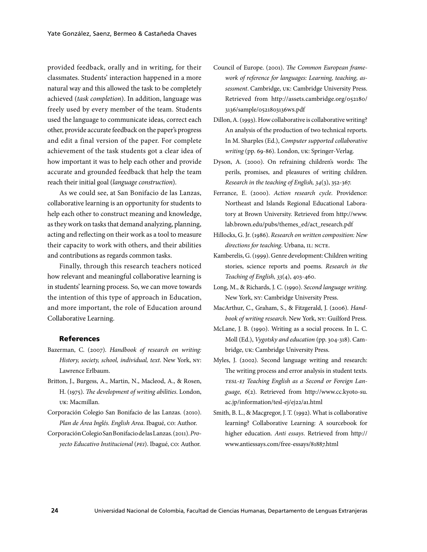provided feedback, orally and in writing, for their classmates. Students' interaction happened in a more natural way and this allowed the task to be completely achieved (*task completion*). In addition, language was freely used by every member of the team. Students used the language to communicate ideas, correct each other, provide accurate feedback on the paper's progress and edit a final version of the paper. For complete achievement of the task students got a clear idea of how important it was to help each other and provide accurate and grounded feedback that help the team reach their initial goal (*language construction*).

As we could see, at San Bonifacio de las Lanzas, collaborative learning is an opportunity for students to help each other to construct meaning and knowledge, as they work on tasks that demand analyzing, planning, acting and reflecting on their work as a tool to measure their capacity to work with others, and their abilities and contributions as regards common tasks.

Finally, through this research teachers noticed how relevant and meaningful collaborative learning is in students' learning process. So, we can move towards the intention of this type of approach in Education, and more important, the role of Education around Collaborative Learning.

### References

- Bazerman, C. (2007). *Handbook of research on writing: History, society, school, individual, text*. New York, NY: Lawrence Erlbaum.
- Britton, J., Burgess, A., Martin, N., Macleod, A., & Rosen, H. (1975). *The development of writing abilities*. London, uk: Macmillan.
- Corporación Colegio San Bonifacio de las Lanzas. (2010). *Plan de Área Inglés. English Area*. Ibagué, CO: Author.
- Corporación Colegio San Bonifacio de las Lanzas. (2011). *Proyecto Educativo Institucional* (*PEI*). Ibagué, co: Author.
- Council of Europe. (2001). *The Common European framework of reference for languages: Learning, teaching, assessment*. Cambridge, uk: Cambridge University Press. Retrieved from http://assets.cambridge.org/052180/ 3136/sample/0521803136WS.pdf
- Dillon, A. (1993). How collaborative is collaborative writing? An analysis of the production of two technical reports. In M. Sharples (Ed.), *Computer supported collaborative writing* (pp. 69-86). London, uk: Springer-Verlag.
- Dyson, A. (2000). On refraining children's words: The perils, promises, and pleasures of writing children. *Research in the teaching of English, 34*(3), 352-367.
- Ferrance, E. (2000). *Action research cycle*. Providence: Northeast and Islands Regional Educational Laboratory at Brown University. Retrieved from http://www. lab.brown.edu/pubs/themes\_ed/act\_research.pdf
- Hillocks, G. Jr. (1986). *Research on written composition: New directions for teaching*. Urbana, IL: NCTE.
- Kamberelis, G. (1999). Genre development: Children writing stories, science reports and poems. *Research in the Teaching of English, 33*(4), 403-460.
- Long, M., & Richards, J. C. (1990). *Second language writing*. New York, NY: Cambridge University Press.
- MacArthur, C., Graham, S., & Fitzgerald, J. (2006). *Handbook of writing research*. New York, NY: Guilford Press.
- McLane, J. B. (1990). Writing as a social process. In L. C. Moll (Ed.), *Vygotsky and education* (pp. 304-318). Cambridge, uk: Cambridge University Press.
- Myles, J. (2002). Second language writing and research: The writing process and error analysis in student texts. *TESL-EJ Teaching English as a Second or Foreign Language, 6*(2). Retrieved from http://www.cc.kyoto-su. ac.jp/information/tesl-ej/ej22/a1.html
- Smith, B. L., & Macgregor, J. T. (1992). What is collaborative learning? Collaborative Learning: A sourcebook for higher education. *Anti essays*. Retrieved from http:// www.antiessays.com/free-essays/81887.html